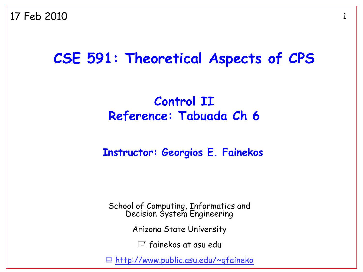17 Feb 2010

#### **CSE 591: Theoretical Aspects of CPS**

#### **Control II Reference: Tabuada Ch 6**

#### **Instructor: Georgios E. Fainekos**

School of Computing, Informatics and Decision System Engineering

Arizona State University

 $\equiv$  fainekos at asu edu

<http://www.public.asu.edu/~gfaineko>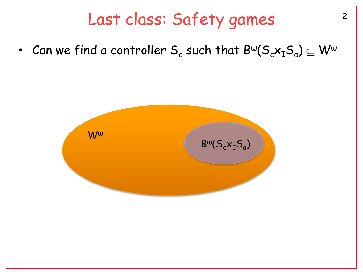#### Last class: Safety games 2

• Can we find a controller  $\mathsf{S}_{\mathsf{c}}$  such that  $\mathsf{B}^{\mathsf{w}}(\mathsf{S}_{\mathsf{c}}\mathsf{x}_{\mathsf{I}}\mathsf{S}_{\mathsf{a}})\subseteq\mathsf{W}^{\mathsf{w}}$ 

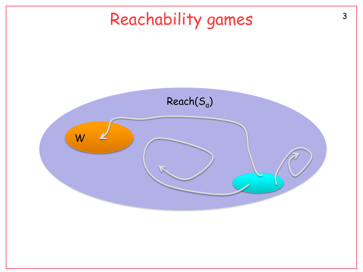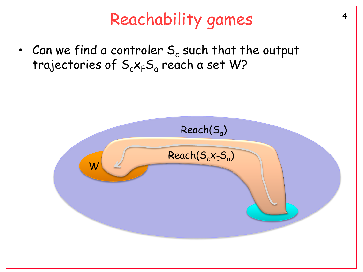# <sup>4</sup> Reachability games

• Can we find a controler  $\mathsf{S}_{\mathsf{c}}$  such that the output trajectories of  $\mathsf{S}_\mathsf{c}\mathsf{x}_\mathsf{F}\mathsf{S}_\mathsf{a}$  reach a set W?

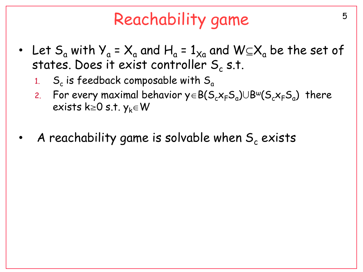# Reachability game by the state of the state of the state of the state of the state of the state of the state o

- Let S<sub>a</sub> with Y<sub>a</sub> = X<sub>a</sub> and H<sub>a</sub> = 1<sub>Xa</sub> and W $\subseteq$ X<sub>a</sub> be the set of states. Does it exist controller  $\mathsf{S}_{\mathsf{c}}$  s.t.
	- 1. S<sup>c</sup> is feedback composable with S<sup>a</sup>
	- 2. For every maximal behavior  $y \in B(S_c x_F S_a) \cup B^{\omega}(S_c x_F S_a)$  there exists k=0 s.t.  $y_k \in W$
- A reachability game is solvable when  $S_c$  exists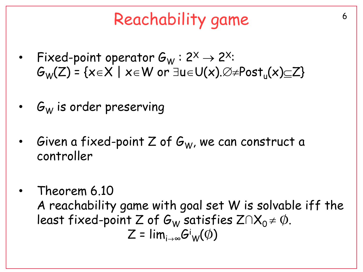# Reachability game

- Fixed-point operator  $G_W$ : 2<sup>X</sup>  $\rightarrow$  2<sup>X</sup>:  $G_{\mathsf{W}}(\mathsf{Z})$  = {x $\in$ X | x $\in$ W or  $\exists$ u $\in$ U(x). $\varnothing$ ≠<code>Post</code><sub>u</sub>(x) $\subseteq$ Z}
- $G_W$  is order preserving
- Given a fixed-point Z of  $G_W$ , we can construct a controller
- Theorem 6.10 A reachability game with goal set W is solvable iff the least fixed-point Z of  $G_W$  satisfies  $Z \cap X_0 \neq \emptyset$ .  $\mathsf{Z}$  =  $\mathsf{lim}_{\mathsf{i}\to\infty} \mathsf{G}^\mathsf{i}\mathsf{w}(\phi)$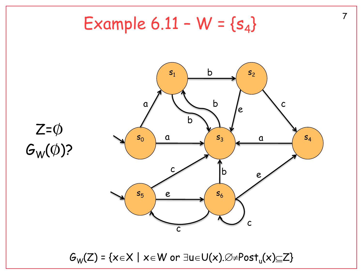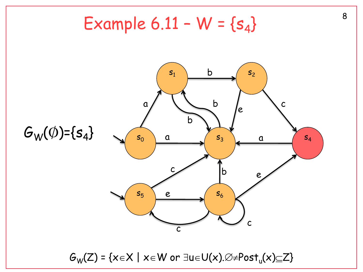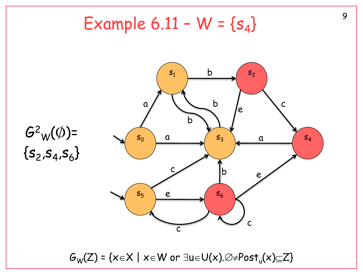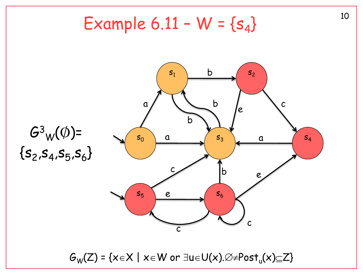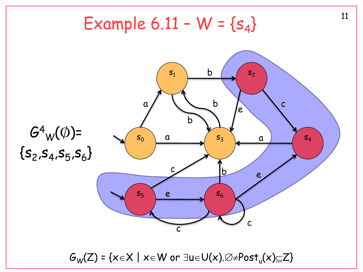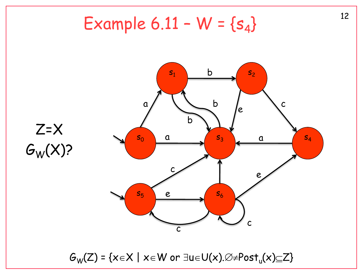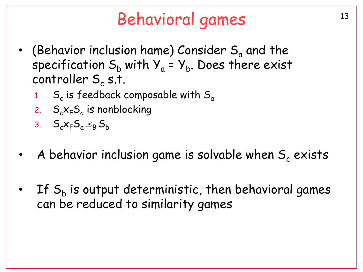# <sup>13</sup> Behavioral games

- (Behavior inclusion hame) Consider  $S_a$  and the specification  $\mathsf{S}_\mathsf{b}$  with  $\mathsf{Y}_\mathsf{a}$  =  $\mathsf{Y}_\mathsf{b}.$  Does there exist controller  $\mathsf{S}_{\mathsf{c}}$  s.t.
	- 1. S<sup>c</sup> is feedback composable with S<sup>a</sup>
	- 2. S<sub>c</sub>x<sub>F</sub>S<sub>a</sub> is nonblocking
	- 3.  $S_c x_F S_a \leq_R S_b$
- A behavior inclusion game is solvable when  $S_c$  exists
- $\;$  If  $S_{\mathsf{b}}$  is output deterministic, then behavioral games can be reduced to similarity games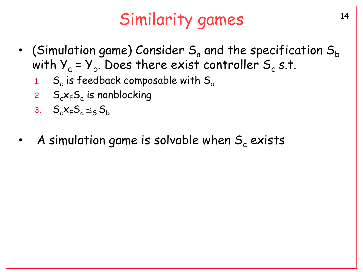# Similarity games 14

- (Simulation game) Consider  $S_a$  and the specification  $S_b$ with Y $_{\mathrm{a}}$  = Y $_{\mathrm{b}}$ . Does there exist controller S $_{\mathrm{c}}$  s.t.
	- 1. S<sup>c</sup> is feedback composable with S<sup>a</sup>
	- 2.  $S_c x_F S_a$  is nonblocking
	- 3.  $S_c x_F S_a \leq_S S_b$
- A simulation game is solvable when  $S_c$  exists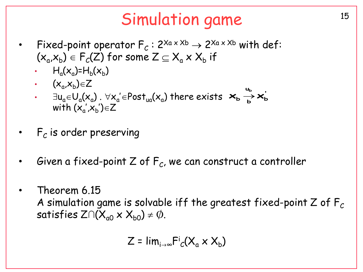### Simulation game 15

- Fixed-point operator  $F_c: 2^{Xa \times Xb} \rightarrow 2^{Xa \times Xb}$  with def:  $(\mathsf{x}_{\mathsf{a}}\!,\!\mathsf{x}_{\mathsf{b}}\!)\in\mathsf{F}_\mathcal{C}(\mathsf{Z})$  for some  $\mathsf{Z}\subseteq\mathsf{X}_{\mathsf{a}}\mathsf{x}\mathsf{x}\mathsf{X}_{\mathsf{b}}$  if
	- $\cdot$   $H_a(x_a) = H_b(x_b)$
	- $\cdot$   $(x_a x_b) \in Z$
	- $\cdot$   $\exists$ u<sub>a</sub>∈U<sub>a</sub>(x<sub>a</sub>).  $\forall$ x<sub>a</sub>'∈Post<sub>ua</sub>(x<sub>a</sub>) there exists  $\bm{\varkappa_{\sf b}} \stackrel{\sim}{\rightarrow} \bm{\varkappa_{\sf b}}'$ ' with  $(x'_{a},x'_{b})\in Z$ **u**  $\mathsf{x}_{\mathsf{b}} \xrightarrow[\mathsf{b}]{\mathsf{u}_{\mathsf{b}}} \mathsf{x}$
- $\;\;$   $\mathsf{F}_\mathcal{C}$  is order preserving
- $\;$  Given a fixed-point Z of  $\mathsf{F}_\mathcal{C}$ , we can construct a controller
- Theorem 6.15 A simulation game is solvable iff the greatest fixed-point  $Z$  of  $F_C$ satisfies  $Z \cap (X_{00} \times X_{b0}) \neq \emptyset$ .

$$
Z = \lim_{i \to \infty} \mathrm{Fi}_c(X_a \times X_b)
$$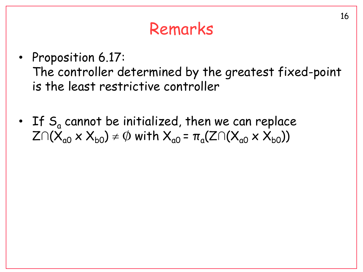#### Remarks

- Proposition 6.17: The controller determined by the greatest fixed-point is the least restrictive controller
- If  $S_a$  cannot be initialized, then we can replace  $Z\cap(X_{a0}\times X_{b0})\neq\emptyset$  with  $X_{a0}$  =  $\pi_{a}(Z\cap(X_{a0}\times X_{b0}))$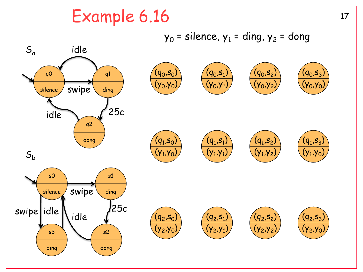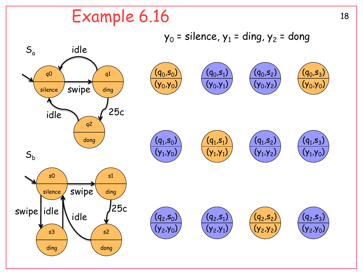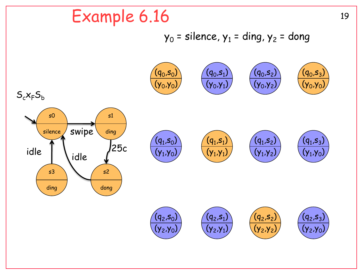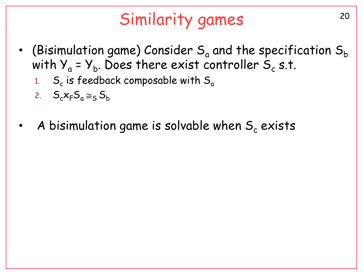# <sup>20</sup> Similarity games

- (Bisimulation game) Consider  $S_a$  and the specification  $S_b$ with Y $_{\mathrm{a}}$  = Y $_{\mathrm{b}}$ . Does there exist controller S $_{\mathrm{c}}$  s.t.
	- 1. S<sup>c</sup> is feedback composable with S<sup>a</sup>
	- 2.  $S_c x_F S_a \approx_S S_b$
- A bisimulation game is solvable when  $S_c$  exists